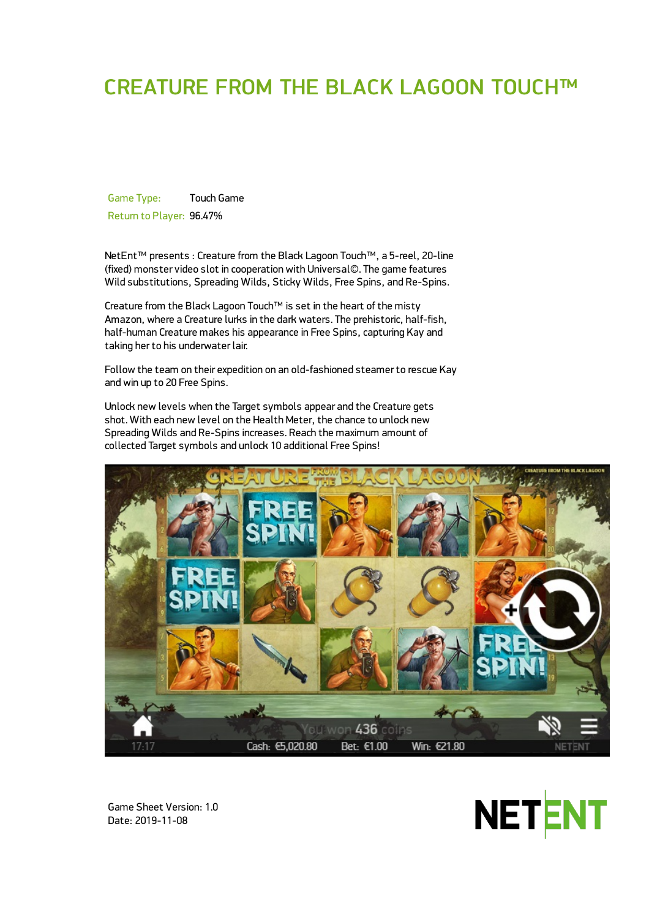# CREATURE FROM THE BLACK LAGOON TOUCH™

Game Type: Touch Game Return to Player: 96.47%

NetEnt™ presents : Creature from the Black Lagoon Touch™, a 5-reel, 20-line (fixed) monster video slot in cooperation with Universal©. The game features Wild substitutions, Spreading Wilds, Sticky Wilds, Free Spins, and Re-Spins,

Creature from the Black Lagoon Touch™ is set in the heart of the misty Amazon, where a Creature lurks in the dark waters. The prehistoric, half-fish, half-human Creature makes his appearance in Free Spins, capturing Kay and taking her to his underwater lair.

Follow the team on their expedition on an old-fashioned steamer to rescue Kay and win up to 20 Free Spins.

Unlock new levels when the Target symbols appear and the Creature gets shot. With each new level on the Health Meter, the chance to unlock new Spreading Wilds and Re-Spins increases. Reach the maximum amount of collected Target symbols and unlock 10 additional Free Spins!



Game Sheet Version: 1.0 Date: 2019-11-08

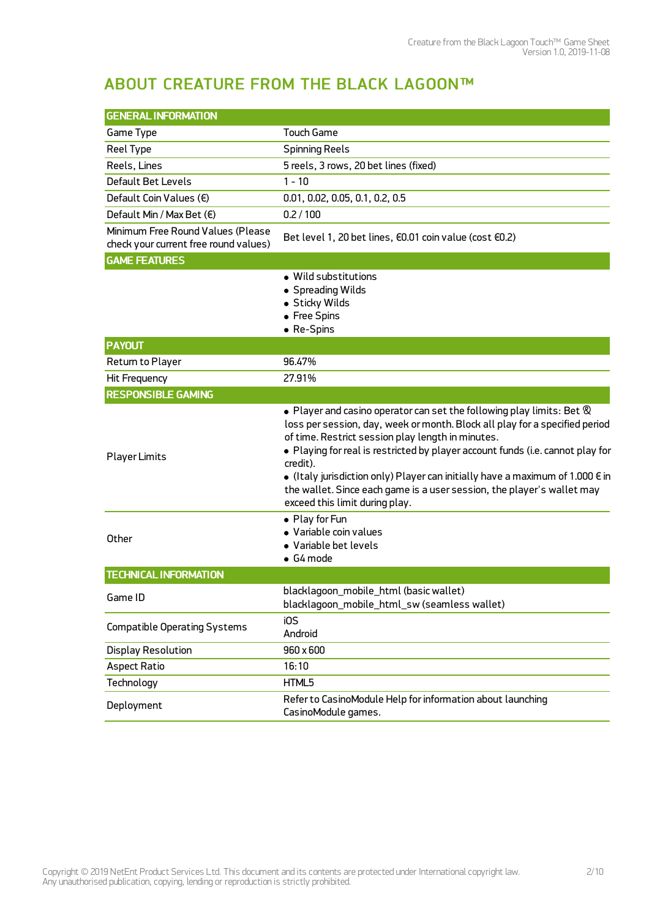## ABOUT CREATURE FROM THE BLACK LAGOON™

| <b>GENERAL INFORMATION</b>                                                 |                                                                                                                                                                                                                                                                                                                                                                                                                                                                                                                               |
|----------------------------------------------------------------------------|-------------------------------------------------------------------------------------------------------------------------------------------------------------------------------------------------------------------------------------------------------------------------------------------------------------------------------------------------------------------------------------------------------------------------------------------------------------------------------------------------------------------------------|
| Game Type                                                                  | <b>Touch Game</b>                                                                                                                                                                                                                                                                                                                                                                                                                                                                                                             |
| Reel Type                                                                  | <b>Spinning Reels</b>                                                                                                                                                                                                                                                                                                                                                                                                                                                                                                         |
| Reels, Lines                                                               | 5 reels, 3 rows, 20 bet lines (fixed)                                                                                                                                                                                                                                                                                                                                                                                                                                                                                         |
| Default Bet Levels                                                         | $1 - 10$                                                                                                                                                                                                                                                                                                                                                                                                                                                                                                                      |
| Default Coin Values (€)                                                    | 0.01, 0.02, 0.05, 0.1, 0.2, 0.5                                                                                                                                                                                                                                                                                                                                                                                                                                                                                               |
| Default Min / Max Bet (€)                                                  | 0.2 / 100                                                                                                                                                                                                                                                                                                                                                                                                                                                                                                                     |
| Minimum Free Round Values (Please<br>check your current free round values) | Bet level 1, 20 bet lines, €0.01 coin value (cost €0.2)                                                                                                                                                                                                                                                                                                                                                                                                                                                                       |
| <b>GAME FEATURES</b>                                                       |                                                                                                                                                                                                                                                                                                                                                                                                                                                                                                                               |
|                                                                            | • Wild substitutions<br>• Spreading Wilds<br>· Sticky Wilds<br>• Free Spins<br>• Re-Spins                                                                                                                                                                                                                                                                                                                                                                                                                                     |
| <b>PAYOUT</b>                                                              |                                                                                                                                                                                                                                                                                                                                                                                                                                                                                                                               |
| Return to Player                                                           | 96.47%                                                                                                                                                                                                                                                                                                                                                                                                                                                                                                                        |
| Hit Frequency                                                              | 27.91%                                                                                                                                                                                                                                                                                                                                                                                                                                                                                                                        |
| <b>RESPONSIBLE GAMING</b>                                                  |                                                                                                                                                                                                                                                                                                                                                                                                                                                                                                                               |
| <b>Player Limits</b>                                                       | $\bullet$ Player and casino operator can set the following play limits: Bet $\otimes$<br>loss per session, day, week or month. Block all play for a specified period<br>of time. Restrict session play length in minutes.<br>• Playing for real is restricted by player account funds (i.e. cannot play for<br>credit).<br>• (Italy jurisdiction only) Player can initially have a maximum of 1.000 $\epsilon$ in<br>the wallet. Since each game is a user session, the player's wallet may<br>exceed this limit during play. |
| Other                                                                      | • Play for Fun<br>· Variable coin values<br>• Variable bet levels<br>$\bullet$ G4 mode                                                                                                                                                                                                                                                                                                                                                                                                                                        |
| <b>TECHNICAL INFORMATION</b>                                               |                                                                                                                                                                                                                                                                                                                                                                                                                                                                                                                               |
| Game ID                                                                    | blacklagoon_mobile_html (basic wallet)<br>blacklagoon_mobile_html_sw (seamless wallet)                                                                                                                                                                                                                                                                                                                                                                                                                                        |
| <b>Compatible Operating Systems</b>                                        | iOS<br>Android                                                                                                                                                                                                                                                                                                                                                                                                                                                                                                                |
| <b>Display Resolution</b>                                                  | 960 x 600                                                                                                                                                                                                                                                                                                                                                                                                                                                                                                                     |
| <b>Aspect Ratio</b>                                                        | 16:10                                                                                                                                                                                                                                                                                                                                                                                                                                                                                                                         |
| Technology                                                                 | HTML5                                                                                                                                                                                                                                                                                                                                                                                                                                                                                                                         |
| Deployment                                                                 | Refer to CasinoModule Help for information about launching<br>CasinoModule games.                                                                                                                                                                                                                                                                                                                                                                                                                                             |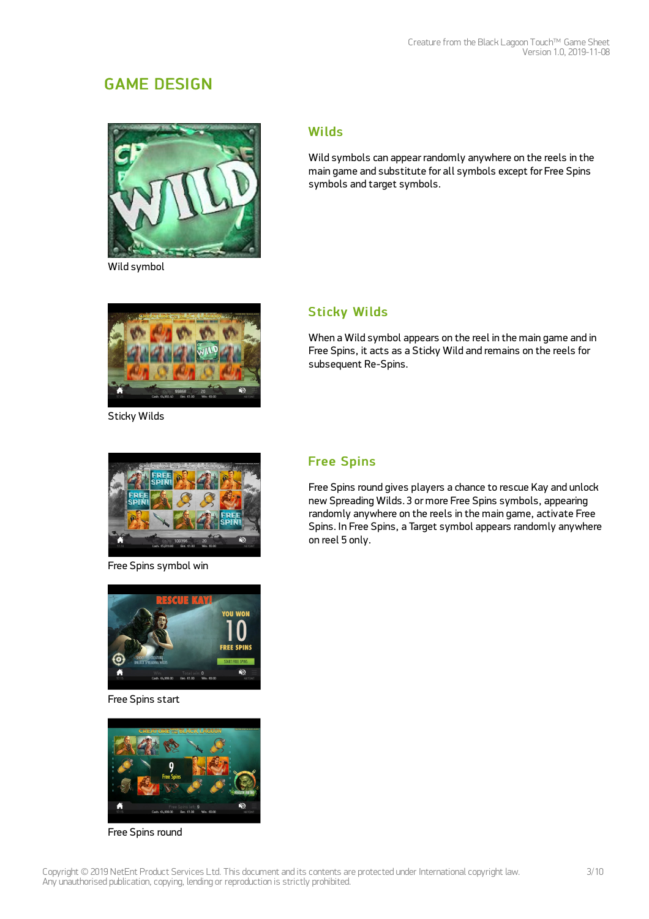## GAME DESIGN



Wild symbol

#### **Wilds**

Wild symbols can appear randomly anywhere on the reels in the main game and substitute for all symbols except for Free Spins symbols and target symbols.



Sticky Wilds

## **Sticky Wilds**

When a Wild symbol appears on the reel in the main game and in Free Spins, it acts as a Sticky Wild and remains on the reels for subsequent Re-Spins.



Free Spins symbol win

## Free Spins

Free Spins round gives players a chance to rescue Kay and unlock new Spreading Wilds. 3 or more Free Spins symbols, appearing randomly anywhere on the reels in the main game, activate Free Spins. In Free Spins, a Target symbol appears randomly anywhere on reel 5 only.



Free Spins start



Free Spins round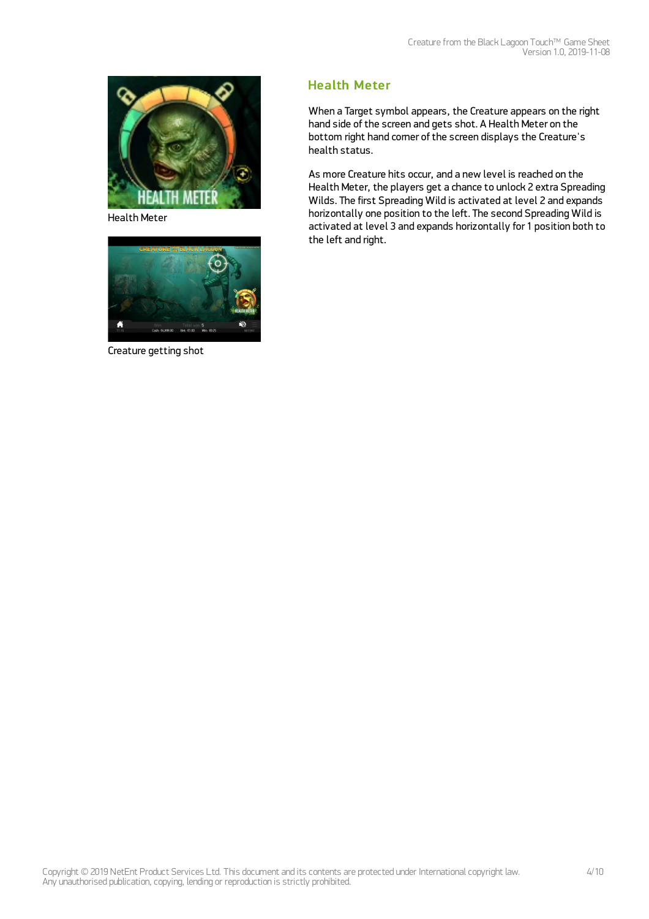

Health Meter



Creature getting shot

## Health Meter

When a Target symbol appears, the Creature appears on the right hand side of the screen and gets shot. A Health Meter on the bottom right hand corner of the screen displays the Creature's health status.

As more Creature hits occur, and a new level is reached on the Health Meter, the players get a chance to unlock 2 extra Spreading Wilds. The first Spreading Wild is activated at level 2 and expands horizontally one position to the left. The second Spreading Wild is activated at level 3 and expands horizontally for 1 position both to the left and right.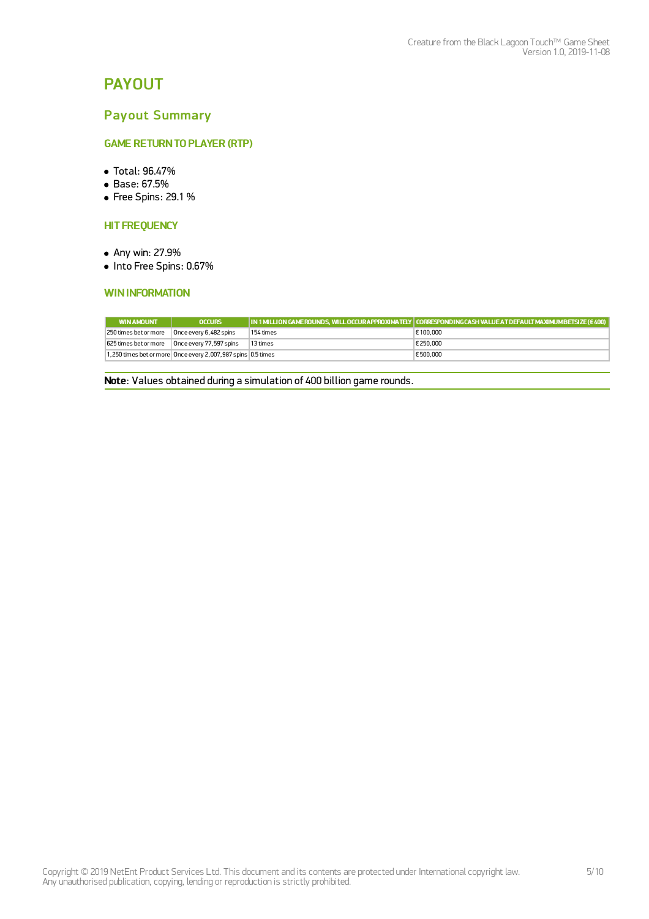## PAYOUT

### Payout Summary

#### **GAME RETURN TO PLAYER (RTP)**

- Total: 96.47%
- Base: 67.5%
- Free Spins: 29.1 %

#### **HIT FREQUENCY**

- Any win: 27.9%
- $\bullet$  Into Free Spins: 0.67%

#### **WININFORMATION**

| <b>WIN AMOUNT</b>     | <b>OCCURS</b>                                                |           | ,  IN 1 MILLION GAMEROUNDS, WILL OCCURAPPROXIMATELY   CORRESPONDINGCASH VALUE AT DEFAULT MAXIMUMBETSIZE (€ 400) |
|-----------------------|--------------------------------------------------------------|-----------|-----------------------------------------------------------------------------------------------------------------|
| 250 times bet or more | Once every 6,482 spins                                       | 154 times | € 100,000                                                                                                       |
| 625 times bet or more | Once every 77,597 spins                                      | 13 times  | € 250,000                                                                                                       |
|                       | 1,250 times bet or more Once every 2,007,987 spins 0.5 times |           | € 500,000                                                                                                       |

Note: Values obtained during a simulation of 400 billion game rounds.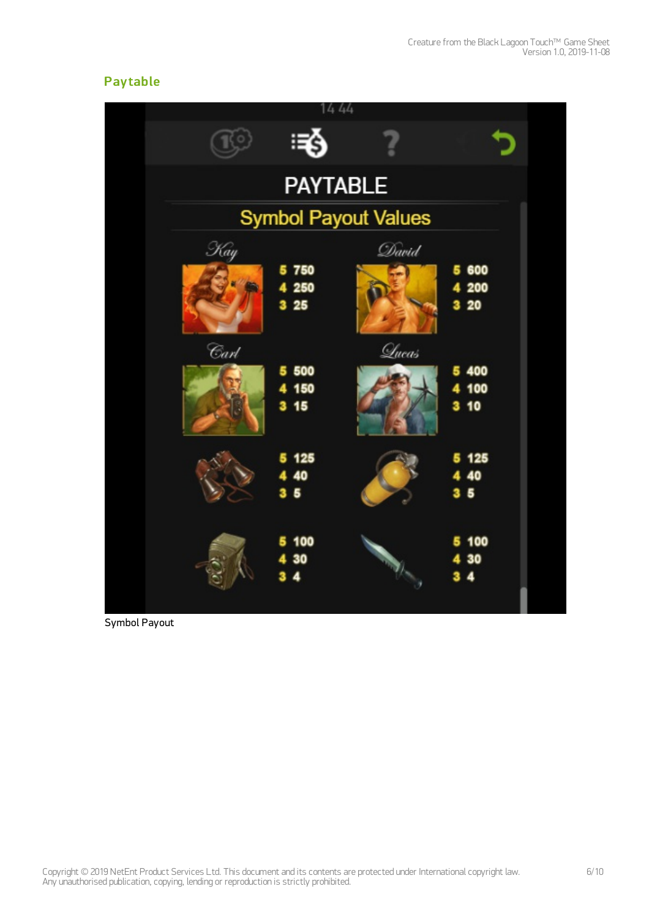## **Pay table**



Symbol Payout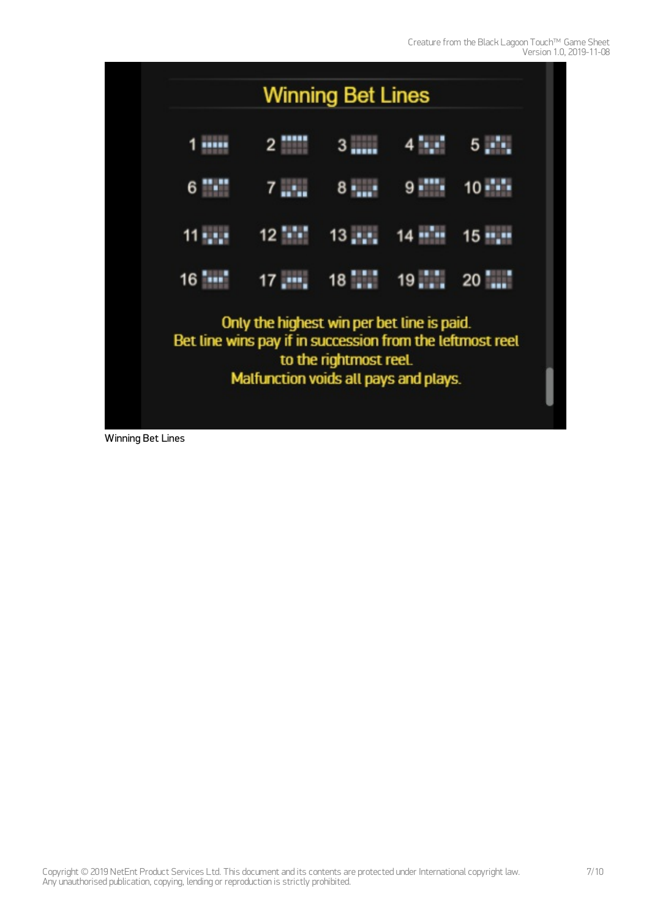

Winning Bet Lines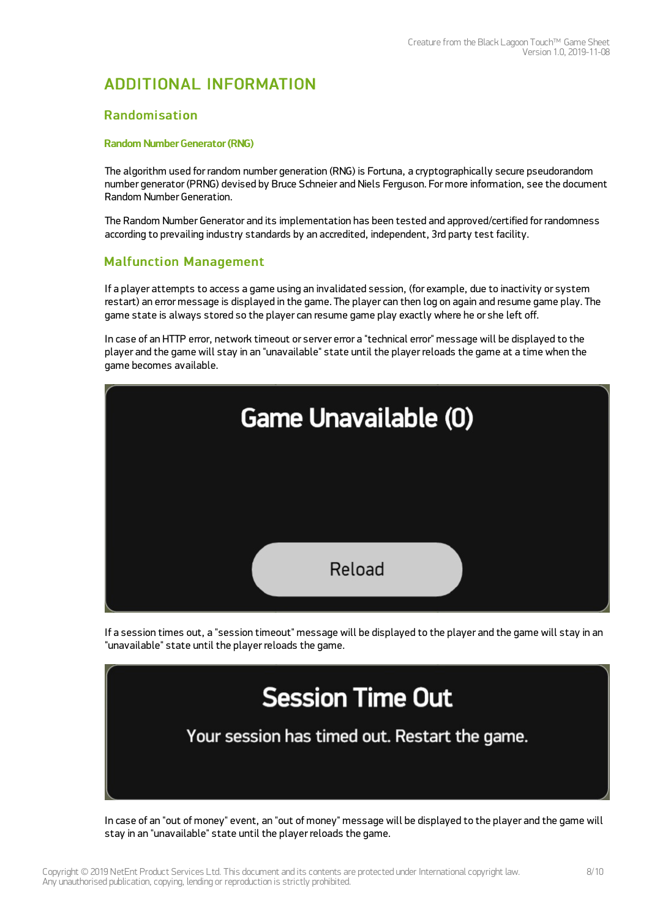## ADDITIONAL INFORMATION

#### Randomisation

#### Random Number Generator (RNG)

The algorithm used for random number generation (RNG) is Fortuna, a cryptographically secure pseudorandom number generator (PRNG) devised by Bruce Schneier and Niels Ferguson. For more information, see the document Random Number Generation.

The Random Number Generator and its implementation has been tested and approved/certified for randomness according to prevailing industry standards by an accredited, independent, 3rd party test facility.

### Malfunction Management

If a player attempts to access a game using an invalidated session, (for example, due to inactivity or system restart) an error message is displayed in the game. The player can then log on again and resume game play. The game state is always stored so the player can resume game play exactly where he or she left off.

In case of an HTTP error, network timeout or server error a "technical error" message will be displayed to the player and the game will stay in an "unavailable" state until the player reloads the game at a time when the game becomes available.



If a session times out, a "session timeout" message will be displayed to the player and the game will stay in an "unavailable" state until the player reloads the game.



In case of an "out of money" event, an "out of money" message will be displayed to the player and the game will stay in an "unavailable" state until the player reloads the game.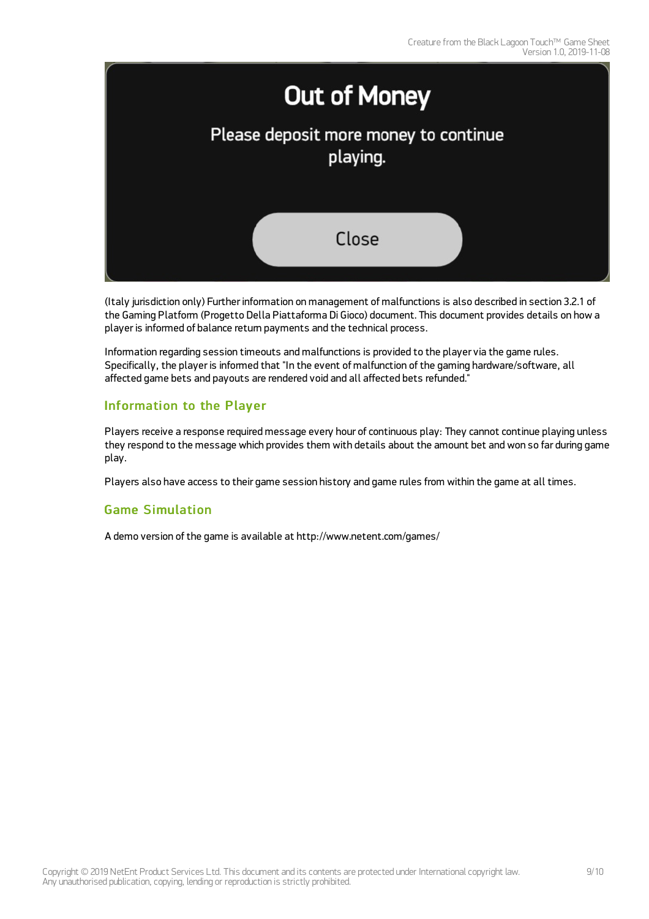

(Italy jurisdiction only) Further information on management of malfunctions is also described in section 3.2.1 of the Gaming Platform (Progetto Della Piattaforma Di Gioco) document. This document provides details on how a player is informed of balance return payments and the technical process.

Information regarding session timeouts and malfunctions is provided to the player via the game rules. Specifically, the player is informed that "In the event of malfunction of the gaming hardware/software, all affected game bets and payouts are rendered void and all affected bets refunded."

### Information to the Player

Players receive a response required message every hour of continuous play: They cannot continue playing unless they respond to the message which provides them with details about the amount bet and won so far during game play.

Players also have access to their game session history and game rules from within the game at all times.

### Game Simulation

A demo version of the game is available at <http://www.netent.com/games/>